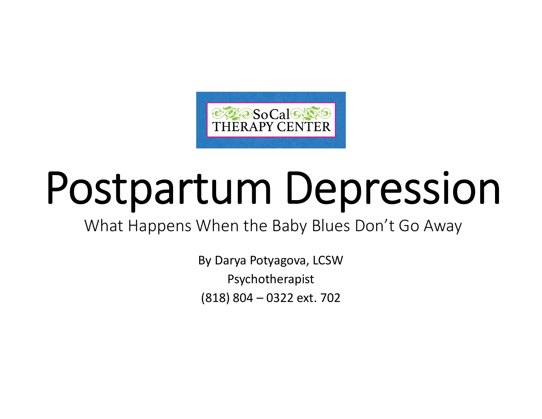

# Postpartum Depression

What Happens When the Baby Blues Don't Go Away

By Darya Potyagova, LCSW Psychotherapist (818) 804 – 0322 ext. 702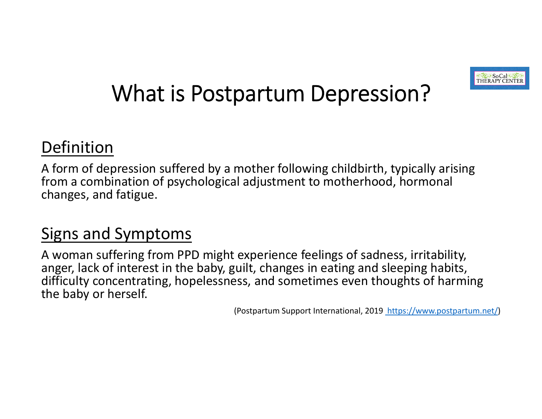

# What is Postpartum Depression?

### Definition

A form of depression suffered by <sup>a</sup> mother following childbirth, typically arising from <sup>a</sup> combination of psychological adjustment to motherhood, hormonal changes, and fatigue.

### Signs and Symptoms

A woman suffering from PPD might experience feelings of sadness, irritability, anger, lack of interest in the baby, guilt, changes in eating and sleeping habits, difficulty concentrating, hopelessness, and sometimes even thoughts of harming the baby or herself.

(Postpartum Support International, 2019 https://www.postpartum.net/)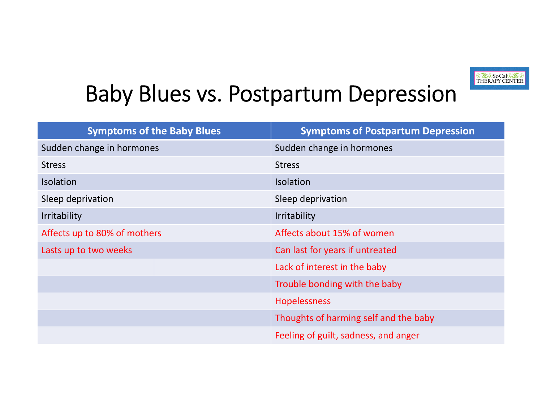

# Baby Blues vs. Postpartum Depression

| <b>Symptoms of the Baby Blues</b> | <b>Symptoms of Postpartum Depression</b> |
|-----------------------------------|------------------------------------------|
| Sudden change in hormones         | Sudden change in hormones                |
| <b>Stress</b>                     | <b>Stress</b>                            |
| <b>Isolation</b>                  | <b>Isolation</b>                         |
| Sleep deprivation                 | Sleep deprivation                        |
| <b>Irritability</b>               | <b>Irritability</b>                      |
| Affects up to 80% of mothers      | Affects about 15% of women               |
| Lasts up to two weeks             | Can last for years if untreated          |
|                                   | Lack of interest in the baby             |
|                                   | Trouble bonding with the baby            |
|                                   | <b>Hopelessness</b>                      |
|                                   | Thoughts of harming self and the baby    |
|                                   | Feeling of guilt, sadness, and anger     |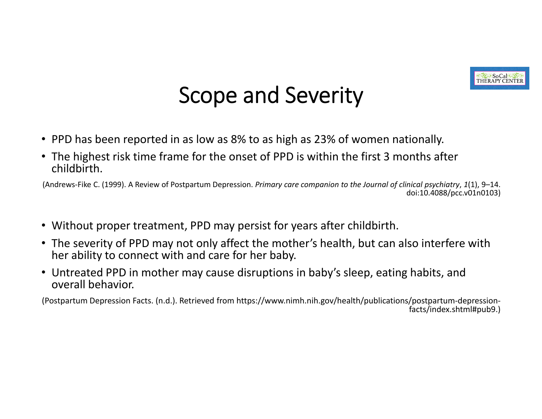

# Scope and Severity

- PPD has been reported in as low as 8% to as high as 23% of women nationally.
- The highest risk time frame for the onset of PPD is within the first 3 months after childbirth.

(Andrews‐Fike C. (1999). A Review of Postpartum Depression. *Primary care companion to the Journal of clinical psychiatry*, *1*(1), 9–14. doi:10.4088/pcc.v01n0103)

- Without proper treatment, PPD may persist for years after childbirth.
- The severity of PPD may not only affect the mother's health, but can also interfere with her ability to connect with and care for her baby.
- Untreated PPD in mother may cause disruptions in baby's sleep, eating habits, and overall behavior.

(Postpartum Depression Facts. (n.d.). Retrieved from https://www.nimh.nih.gov/health/publications/postpartum‐depression‐ facts/index.shtml#pub9.)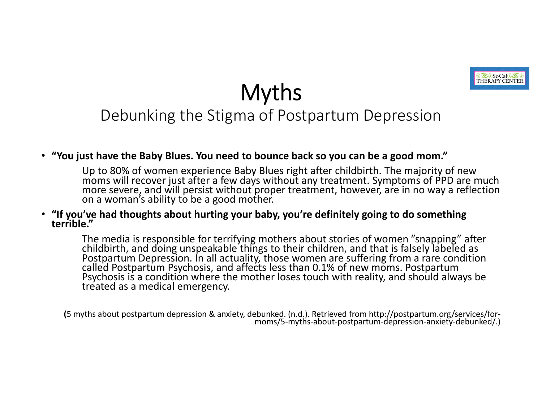

*ColeSoCal* THERAPY CENT

### Debunking the Stigma of Postpartum Depression

#### • **"You just have the Baby Blues. You need to bounce back so you can be <sup>a</sup> good mom."**

Up to 80% of women experience Baby Blues right after childbirth. The majority of new moms will recover just after <sup>a</sup> few days without any treatment. Symptoms of PPD are much more severe, and will persist without proper treatment, however, are in no way <sup>a</sup> reflection on <sup>a</sup> woman's ability to be <sup>a</sup> good mother.

#### •**"If you've had thoughts about hurting your baby, you're definitely going to do something terrible."**

The media is responsible for terrifying mothers about stories of women "snapping" after<br>childbirth, and doing unspeakable things to their children, and that is falsely labeled as Postpartum Depression. In all actuality, those women are suffering from a rare condition<br>called Postpartum Psychosis, and affects less than 0.1% of new moms. Postpartum Psychosis is a condition where the mother loses touch with reality, and should always be treated as a medical emergency.

**(**<sup>5</sup> myths about postpartum depression & anxiety, debunked. (n.d.). Retrieved from http://postpartum.org/services/for‐ moms/5‐myths‐about‐postpartum‐depression‐anxiety‐debunked/.)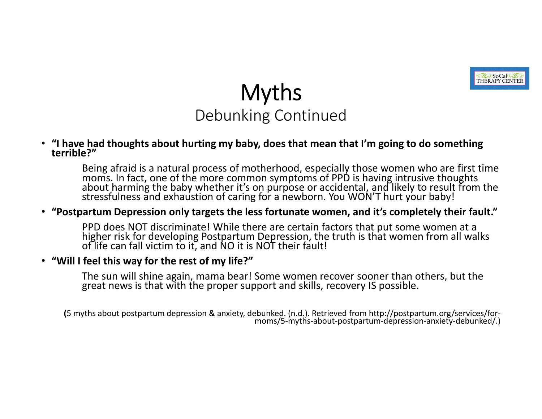

### Myths Debunking Continued

• "I have had thoughts about hurting my baby, does that mean that I'm going to do something<br>terrible?"

Being afraid is <sup>a</sup> natural process of motherhood, especially those women who are first time moms. In fact, one of the more common symptoms of PPD is having intrusive thoughts<br>about harming the baby whether it's on purpose or accidental, and likely to result from about harming the baby whether it's on purpose or accidental, and likely to result from the<br>stressfulness and exhaustion of caring for a newborn. You WON'T hurt your baby!

#### •**"Postpartum Depression only targets the less fortunate women, and it's completely their fault."**

PPD does NOT discriminate! While there are certain factors that put some women at a PPD does NOT discriminate! While there are certain factors that put some women at a<br>higher risk for developing Postpartum Depression, the truth is that women from all walks<br>of life can fall victim to it, and NO it is NOT t

#### • **"Will I feel this way for the rest of my life?"**

The sun will shine again, mama bear! Some women recover sooner than others, but the great news is that with the proper support and skills, recovery IS possible.

**(**<sup>5</sup> myths about postpartum depression & anxiety, debunked. (n.d.). Retrieved from http://postpartum.org/services/for‐ moms/5‐myths‐about‐postpartum‐depression‐anxiety‐debunked/.)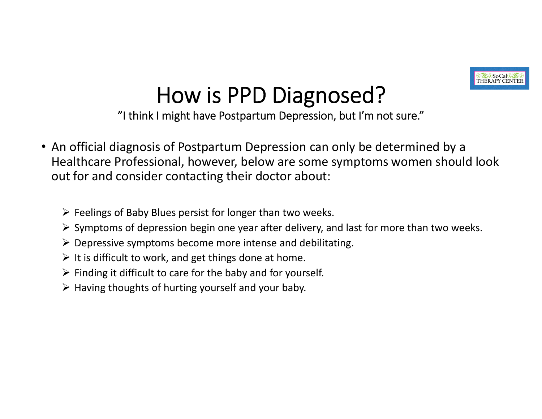

# How is PPD Diagnosed?

"I think I might have Postpartum Depression, but I'm not sure."

- An official diagnosis of Postpartum Depression can only be determined by <sup>a</sup> Healthcare Professional, however, below are some symptoms women should look out for and consider contacting their doctor about:
	- $\triangleright$  Feelings of Baby Blues persist for longer than two weeks.
	- $\triangleright$  Symptoms of depression begin one year after delivery, and last for more than two weeks.
	- $\triangleright$  Depressive symptoms become more intense and debilitating.
	- $\triangleright$  It is difficult to work, and get things done at home.
	- $\triangleright$  Finding it difficult to care for the baby and for yourself.
	- $\triangleright$  Having thoughts of hurting yourself and your baby.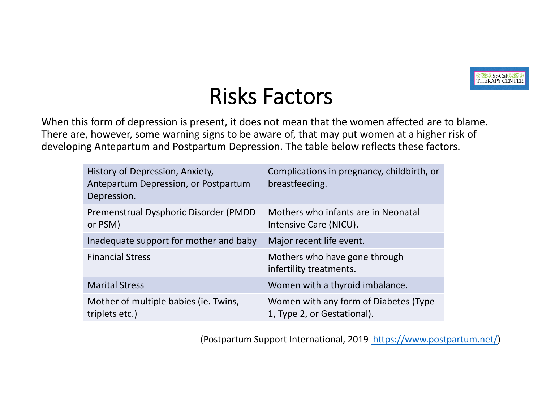

# Risks Factors

When this form of depression is present, it does not mean that the women affected are to blame. There are, however, some warning signs to be aware of, that may put women at <sup>a</sup> higher risk of developing Antepartum and Postpartum Depression. The table below reflects these factors.

| History of Depression, Anxiety,<br>Antepartum Depression, or Postpartum<br>Depression. | Complications in pregnancy, childbirth, or<br>breastfeeding.         |
|----------------------------------------------------------------------------------------|----------------------------------------------------------------------|
| Premenstrual Dysphoric Disorder (PMDD)<br>or PSM)                                      | Mothers who infants are in Neonatal<br>Intensive Care (NICU).        |
| Inadequate support for mother and baby                                                 | Major recent life event.                                             |
| <b>Financial Stress</b>                                                                | Mothers who have gone through<br>infertility treatments.             |
| <b>Marital Stress</b>                                                                  | Women with a thyroid imbalance.                                      |
| Mother of multiple babies (ie. Twins,<br>triplets etc.)                                | Women with any form of Diabetes (Type<br>1, Type 2, or Gestational). |

(Postpartum Support International, 2019 https://www.postpartum.net/)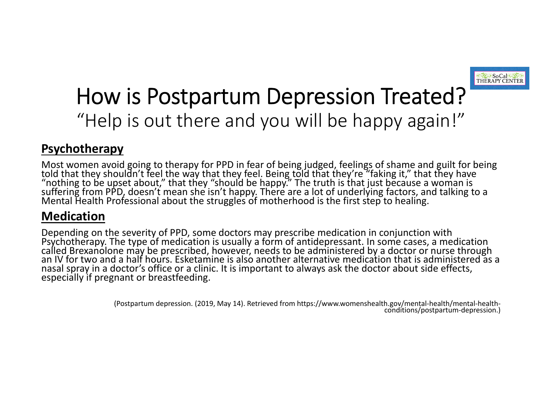

# How is Postpartum Depression Treated? "Help is out there and you will be happy again!"

#### **Psychotherapy**

Most women avoid going to therapy for PPD in fear of being judged, feelings of shame and guilt for being<br>told that thev shouldn't feel the way that thev feel. Being told that they're "faking it." that they have told that they shouldn't feel the way that they feel. Being told that they're "faking it," that they have<br>"nothing to be upset about," that they "should be happy." The truth is that just because a woman is<br>suffering from P

#### **Medication**

Depending on the severity of PPD, some doctors may prescribe medication in conjunction with<br>Psychotherapy. The type of medication is usually a form of antidepressant. In some cases, a medication d Brexanolone may be prescribed, however, needs to be administered by a doctor or nurse through an IV for two and <sup>a</sup> half hours. Esketamine is also another alternative medication that is administered as <sup>a</sup> nasal spray in a doctor's office or a clinic. It is important to always ask the doctor about side effects,<br>especially if pregnant or breastfeeding.

(Postpartum depression. (2019, May 14). Retrieved from https://www.womenshealth.gov/mental‐health/mental‐health‐ conditions/postpartum‐depression.)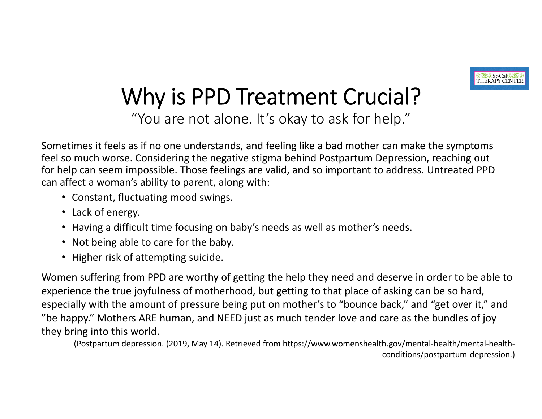

# Why is PPD Treatment Crucial?

"You are not alone. It's okay to ask for help."

Sometimes it feels as if no one understands, and feeling like <sup>a</sup> bad mother can make the symptoms feel so much worse. Considering the negative stigma behind Postpartum Depression, reaching out for help can seem impossible. Those feelings are valid, and so important to address. Untreated PPD can affect <sup>a</sup> woman's ability to parent, along with:

- Constant, fluctuating mood swings.
- Lack of energy.
- Having <sup>a</sup> difficult time focusing on baby's needs as well as mother's needs.
- Not being able to care for the baby.
- Higher risk of attempting suicide.

Women suffering from PPD are worthy of getting the help they need and deserve in order to be able to experience the true joyfulness of motherhood, but getting to that place of asking can be so hard, especially with the amount of pressure being put on mother's to "bounce back," and "get over it," and "be happy." Mothers ARE human, and NEED just as much tender love and care as the bundles of joy they bring into this world.

(Postpartum depression. (2019, May 14). Retrieved from https://www.womenshealth.gov/mental‐health/mental‐health‐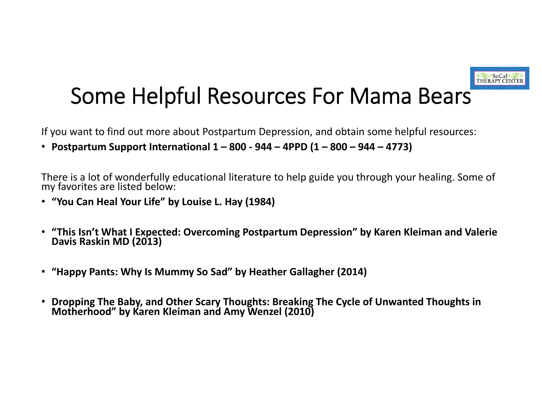

# Some Helpful Resources For Mama Bears

If you want to find out more about Postpartum Depression, and obtain some helpful resources:

• Postpartum Support International  $1-800$  - 944 - 4PPD (1 - 800 - 944 - 4773)

There is <sup>a</sup> lot of wonderfully educational literature to help guide you through your healing. Some of my favorites are listed below:

- **"You Can Heal Your Life" by Louise L. Hay (1984)**
- **"This Isn't What <sup>I</sup> Expected: Overcoming Postpartum Depression" by Karen Kleiman and Valerie DavisRaskin MD (2013)**
- **"Happy Pants: Why Is Mummy So Sad" by Heather Gallagher (2014)**
- •**Dropping The Baby, and Other Scary Thoughts: Breaking The Cycle of Unwanted Thoughts in by Karen Kleiman and Amy Wenzel (2010)**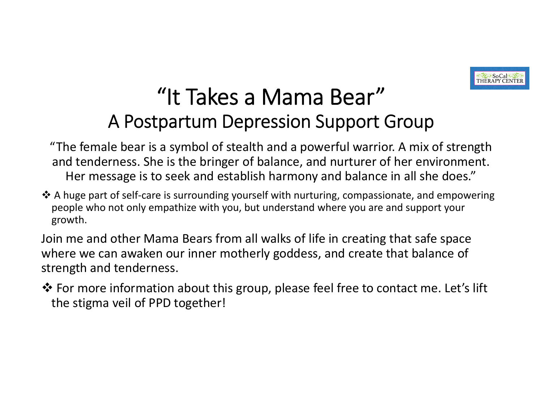

# "It Takes <sup>a</sup> Mama Bear"A Postpartum Depression Support Group

"The female bear is <sup>a</sup> symbol of stealth and <sup>a</sup> powerful warrior. A mix of strength and tenderness. She is the bringer of balance, and nurturer of her environment. Her message is to seek and establish harmony and balance in all she does."

 $\triangle$  A huge part of self-care is surrounding yourself with nurturing, compassionate, and empowering people who not only empathize with you, but understand where you are and support your growth.

Join me and other Mama Bears from all walks of life in creating that safe space where we can awaken our inner motherly goddess, and create that balance of strength and tenderness.

 For more information about this group, please feel free to contact me. Let's lift the stigma veil of PPD together!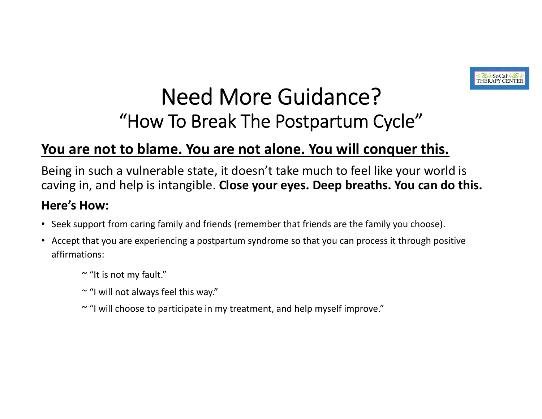

### Need More Guidance?"How To Break The Postpartum Cycle"

### **You are not to blame. You are not alone. You will conquer this.**

Being in such <sup>a</sup> vulnerable state, it doesn't take much to feel like your world is caving in, and help is intangible. **Close your eyes. Deep breaths. You can do this.**

#### **Here's How:**

- Seek support from caring family and friends (remember that friends are the family you choose).
- Accept that you are experiencing <sup>a</sup> postpartum syndrome so that you can process it through positive affirmations:
	- $\tilde{\phantom{a}}$  "It is not my fault."
	- ~ "I will not always feel this way."
	- ~ "I will choose to participate in my treatment, and help myself improve."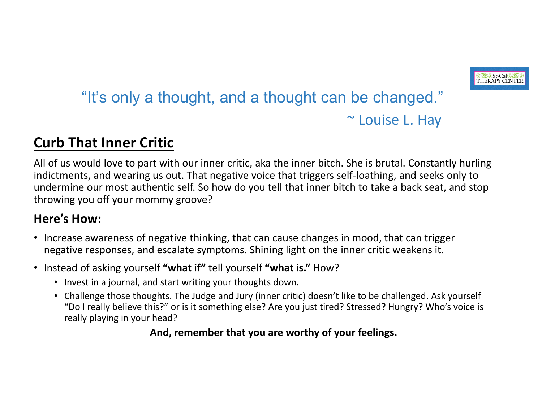

### "It's only a thought, and a thought can be changed." ~ Louise L. Hay

### **Curb That Inner Critic**

All of us would love to part with our inner critic, aka the inner bitch. She is brutal. Constantly hurling indictments, and wearing us out. That negative voice that triggers self‐loathing, and seeks only to undermine our most authentic self. So how do you tell that inner bitch to take a back seat, and stop throwing you off your mommy groove?

#### **Here's How:**

- Increase awareness of negative thinking, that can cause changes in mood, that can trigger negative responses, and escalate symptoms. Shining light on the inner critic weakens it.
- Instead of asking yourself **"what if"** tell yourself **"what is."** How?
	- Invest in a journal, and start writing your thoughts down.
	- Challenge those thoughts. The Judge and Jury (inner critic) doesn't like to be challenged. Ask yourself "Do I really believe this?" or is it something else? Are you just tired? Stressed? Hungry? Who's voice is really playing in your head?

#### **And, remember that you are worthy of your feelings.**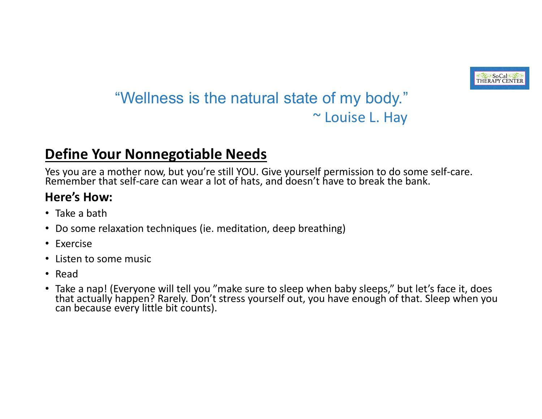

### "Wellness is the natural state of my body." ~ Louise L. Hay

### **Define Your Nonnegotiable Needs**

Yes you are a mother now, but you're still YOU. Give yourself permission to do some self-care.<br>Remember that self-care can wear a lot of hats, and doesn't have to break the bank.

#### **Here's How:**

- Take a bath
- •Do some relaxation techniques (ie. meditation, deep breathing)
- Exercise
- Listen to some music
- Read
- Take a nap! (Everyone will tell you "make sure to sleep when baby sleeps," but let's face it, does •<br>that actually happen? Rarely. Don't stress yourself out, you have enough of that. Sleep when yo that actually happen? Rarely. Don't stress yourself out, you have enough of that. Sleep when you can because every little bit counts).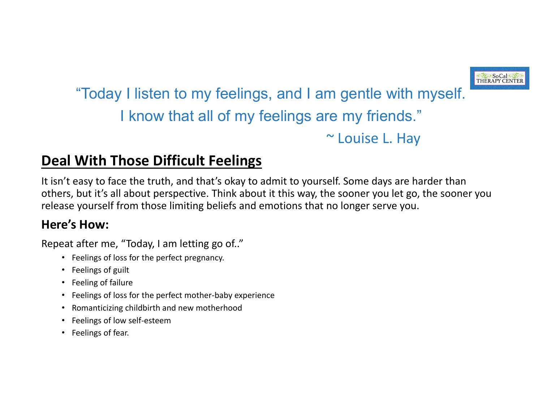### "Today I listen to my feelings, and I am gentle with myself. I know that all of my feelings are my friends." ~ Louise L. Hay

### **Deal With Those Difficult Feelings**

It isn't easy to face the truth, and that's okay to admit to yourself. Some days are harder than others, but it's all about perspective. Think about it this way, the sooner you let go, the sooner you release yourself from those limiting beliefs and emotions that no longer serve you.

#### **Here's How:**

Repeat after me, "Today, I am letting go of.."

- Feelings of loss for the perfect pregnancy.
- Feelings of guilt
- Feeling of failure
- Feelings of loss for the perfect mother-baby experience
- •Romanticizing childbirth and new motherhood
- Feelings of low self‐esteem
- Feelings of fear.